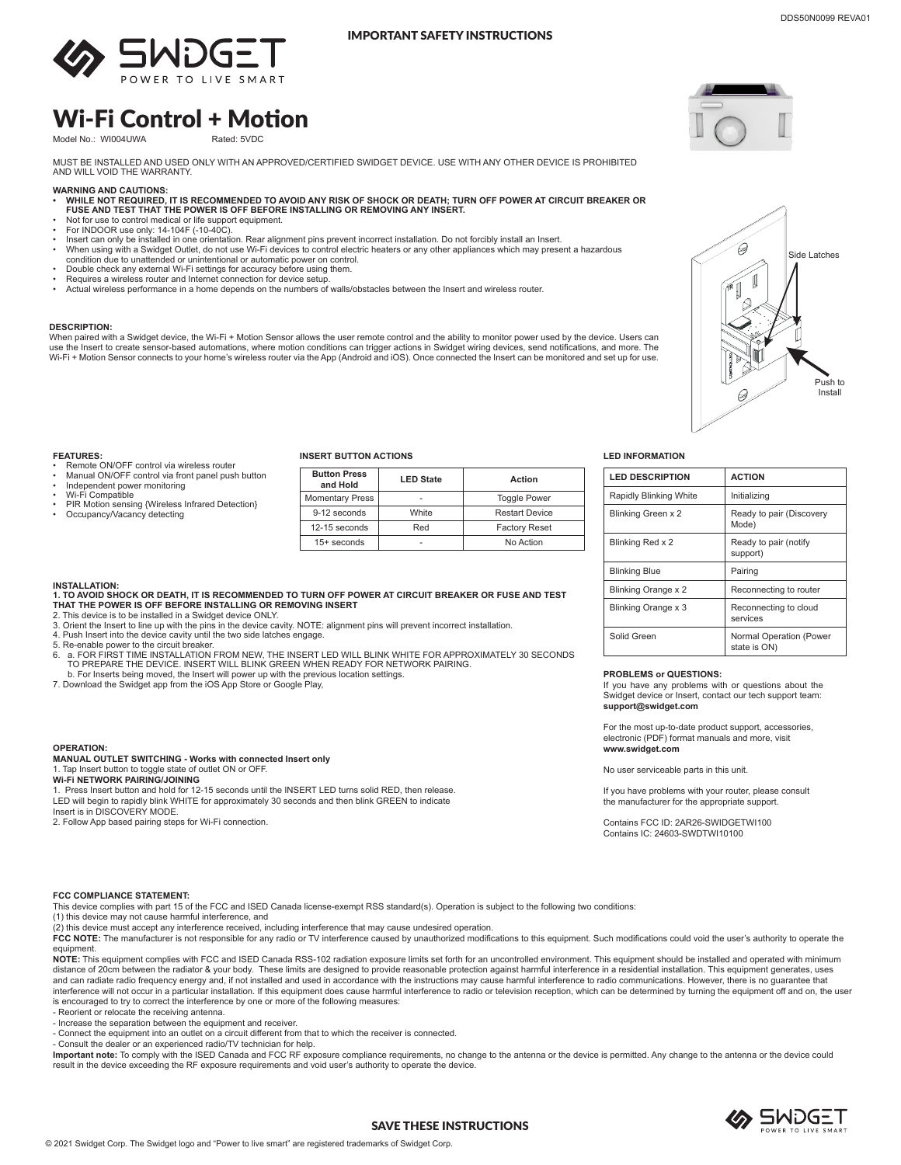

#### IMPORTANT SAFETY INSTRUCTIONS

## Wi-Fi Control + Motion

Model No.: WI004UWA

MUST BE INSTALLED AND USED ONLY WITH AN APPROVED/CERTIFIED SWIDGET DEVICE. USE WITH ANY OTHER DEVICE IS PROHIBITED<br>AND WILL VOID THE WARRANTY.

- **WARNING AND CAUTIONS: • WHILE NOT REQUIRED, IT IS RECOMMENDED TO AVOID ANY RISK OF SHOCK OR DEATH; TURN OFF POWER AT CIRCUIT BREAKER OR FUSE AND TEST THAT THE POWER IS OFF BEFORE INSTALLING OR REMOVING ANY INSERT.**
- Not for use to control medical or life support equipment. For INDOOR use only: 14-104F (-10-40C).
- 
- Insert can only be installed in one orientation. Rear alignment pins prevent incorrect installation. Do not forcibly install an Insert.<br>• When using with a Swidget Outlet, do not use Wi-Fi devices to control electr condition due to unattended or unintentional or automatic power on control.
- Double check any external Wi-Fi settings for accuracy before using them.
- Requires a wireless router and Internet connection for device setup.
- Actual wireless performance in a home depends on the numbers of walls/obstacles between the Insert and wireless router.

**1. TO AVOID SHOCK OR DEATH, IT IS RECOMMENDED TO TURN OFF POWER AT CIRCUIT BREAKER OR FUSE AND TEST** 

6. a. FOR FIRST TIME INSTALLATION FROM NEW, THE INSERT LED WILL BLINK WHITE FOR APPROXIMATELY 30 SECONDS .<br>TO PREPARE THE DEVICE. INSERT WILL BLINK GREEN WHEN READY FOR NETWORK PAIRING.

2. This device is to be installed in a Swidget device ONLY.<br>3. Orient the Insert to line up with the pins in the device cavity. NOTE: alignment pins will prevent incorrect installation.<br>4. Push Insert into the device cavit

#### **DESCRIPTION:**

When paired with a Swidget device, the Wi-Fi + Motion Sensor allows the user remote control and the ability to monitor power used by the device. Users can use the Insert to create sensor-based automations, where motion conditions can trigger actions in Swidget wiring devices, send notifications, and more. The<br>Wi-Fi + Motion Sensor connects to your home's wireless router via



# Side Latches  $\mathbb{I}$ Push to 0 Install

#### **FEATURES:**

**INSTALLATION:** 

**OPERATION:**

- Remote ON/OFF control via wireless router
- Manual ON/OFF control via front panel push button Independent power monitoring
- 
- Wi-Fi Compatible PIR Motion sensing {Wireless Infrared Detection}
- Occupancy/Vacancy detecting

### **INSERT BUTTON ACTIONS LED INFORMATION**

| <b>Button Press</b><br>and Hold | <b>LED State</b> | Action                |
|---------------------------------|------------------|-----------------------|
| <b>Momentary Press</b>          |                  | <b>Toggle Power</b>   |
| 9-12 seconds                    | White            | <b>Restart Device</b> |
| 12-15 seconds                   | Red              | <b>Factory Reset</b>  |
| $15+$ seconds                   | -                | No Action             |

| <b>LED DESCRIPTION</b> | <b>ACTION</b>                           |
|------------------------|-----------------------------------------|
| Rapidly Blinking White | Initializing                            |
| Blinking Green x 2     | Ready to pair (Discovery<br>Mode)       |
| Blinking Red x 2       | Ready to pair (notify<br>support)       |
| <b>Blinking Blue</b>   | Pairing                                 |
| Blinking Orange x 2    | Reconnecting to router                  |
| Blinking Orange x 3    | Reconnecting to cloud<br>services       |
| Solid Green            | Normal Operation (Power<br>state is ON) |

#### **PROBLEMS or QUESTIONS:**

If you have any problems with or questions about the Swidget device or Insert, contact our tech support team: **support@swidget.com**

For the most up-to-date product support, accessories, electronic (PDF) format manuals and more, visit **www.swidget.com**

No user serviceable parts in this unit.

If you have problems with your router, please consult the manufacturer for the appropriate support.

Contains FCC ID: 2AR26-SWIDGETWI100 Contains IC: 24603-SWDTWI10100

#### **FCC COMPLIANCE STATEMENT:**

**Wi-Fi NETWORK PAIRING/JOINING**

Insert is in DISCOVERY MODE.

This device complies with part 15 of the FCC and ISED Canada license-exempt RSS standard(s). Operation is subject to the following two conditions:

(1) this device may not cause harmful interference, and

(2) this device must accept any interference received, including interference that may cause undesired operation.

1. Press Insert button and hold for 12-15 seconds until the INSERT LED turns solid RED, then release. LED will begin to rapidly blink WHITE for approximately 30 seconds and then blink GREEN to indicate

FCC NOTE: The manufacturer is not responsible for any radio or TV interference caused by unauthorized modifications to this equipment. Such modifications could void the user's authority to operate the equipment.

**NOTE:** This equipment complies with FCC and ISED Canada RSS-102 radiation exposure limits set forth for an uncontrolled environment. This equipment should be installed and operated with minimum distance of 20cm between the radiator & your body. These limits are designed to provide reasonable protection against harmful interference in a residential installation. This equipment generates, uses and can radiate radio frequency energy and, if not installed and used in accordance with the instructions may cause harmful interference to radio communications. However, there is no guarantee that<br>interference will not oc is encouraged to try to correct the interference by one or more of the following measures:

- Reorient or relocate the receiving antenna.

- Increase the separation between the equipment and receiver.

- Connect the equipment into an outlet on a circuit different from that to which the receiver is connected.

- Consult the dealer or an experienced radio/TV technician for help.

**MANUAL OUTLET SWITCHING - Works with connected Insert only**

**THAT THE POWER IS OFF BEFORE INSTALLING OR REMOVING INSERT** 

b. For Inserts being moved, the Insert will power up with the previous location settings. 7. Download the Swidget app from the iOS App Store or Google Play,

1. Tap Insert button to toggle state of outlet ON or OFF.

2. Follow App based pairing steps for Wi-Fi connection.

**Important note:** To comply with the ISED Canada and FCC RF exposure compliance requirements, no change to the antenna or the device is permitted. Any change to the antenna or the device could<br>result in the device exceedin

## SAVE THESE INSTRUCTIONS